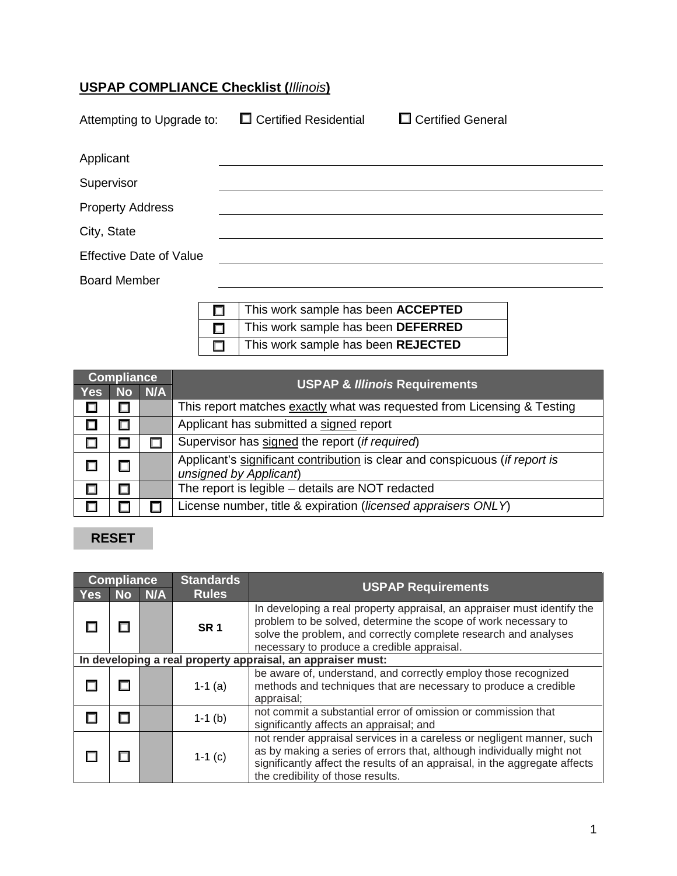#### **USPAP COMPLIANCE Checklist (***Illinois***)**

| Attempting to Upgrade to:      | $\Box$ Certified Residential | □ Certified General |
|--------------------------------|------------------------------|---------------------|
| Applicant                      |                              |                     |
| Supervisor                     |                              |                     |
| <b>Property Address</b>        |                              |                     |
| City, State                    |                              |                     |
| <b>Effective Date of Value</b> |                              |                     |
| <b>Board Member</b>            |                              |                     |
|                                |                              |                     |

|   | This work sample has been <b>ACCEPTED</b> |
|---|-------------------------------------------|
|   | This work sample has been DEFERRED        |
| 口 | This work sample has been REJECTED        |

| <b>Compliance</b> |        |        | <b>USPAP &amp; Illinois Requirements</b>                                                              |
|-------------------|--------|--------|-------------------------------------------------------------------------------------------------------|
| <b>Yes</b>        |        | No N/A |                                                                                                       |
|                   |        |        | This report matches exactly what was requested from Licensing & Testing                               |
|                   | $\Box$ |        | Applicant has submitted a signed report                                                               |
|                   |        |        | Supervisor has signed the report (if required)                                                        |
|                   |        |        | Applicant's significant contribution is clear and conspicuous (if report is<br>unsigned by Applicant) |
|                   |        |        | The report is legible - details are NOT redacted                                                      |
|                   |        |        | License number, title & expiration (licensed appraisers ONLY)                                         |

### **RESET**

| <b>Compliance</b> |                                                             | <b>Standards</b> |                 |                                                                                                                                                                                                                                                                   |
|-------------------|-------------------------------------------------------------|------------------|-----------------|-------------------------------------------------------------------------------------------------------------------------------------------------------------------------------------------------------------------------------------------------------------------|
| <b>Yes</b>        | <b>No</b>                                                   | N/A              | <b>Rules</b>    | <b>USPAP Requirements</b>                                                                                                                                                                                                                                         |
|                   |                                                             |                  | SR <sub>1</sub> | In developing a real property appraisal, an appraiser must identify the<br>problem to be solved, determine the scope of work necessary to<br>solve the problem, and correctly complete research and analyses<br>necessary to produce a credible appraisal.        |
|                   | In developing a real property appraisal, an appraiser must: |                  |                 |                                                                                                                                                                                                                                                                   |
|                   |                                                             |                  | $1-1$ (a)       | be aware of, understand, and correctly employ those recognized<br>methods and techniques that are necessary to produce a credible<br>appraisal;                                                                                                                   |
|                   |                                                             |                  | $1-1$ (b)       | not commit a substantial error of omission or commission that<br>significantly affects an appraisal; and                                                                                                                                                          |
|                   |                                                             |                  | $1-1$ (c)       | not render appraisal services in a careless or negligent manner, such<br>as by making a series of errors that, although individually might not<br>significantly affect the results of an appraisal, in the aggregate affects<br>the credibility of those results. |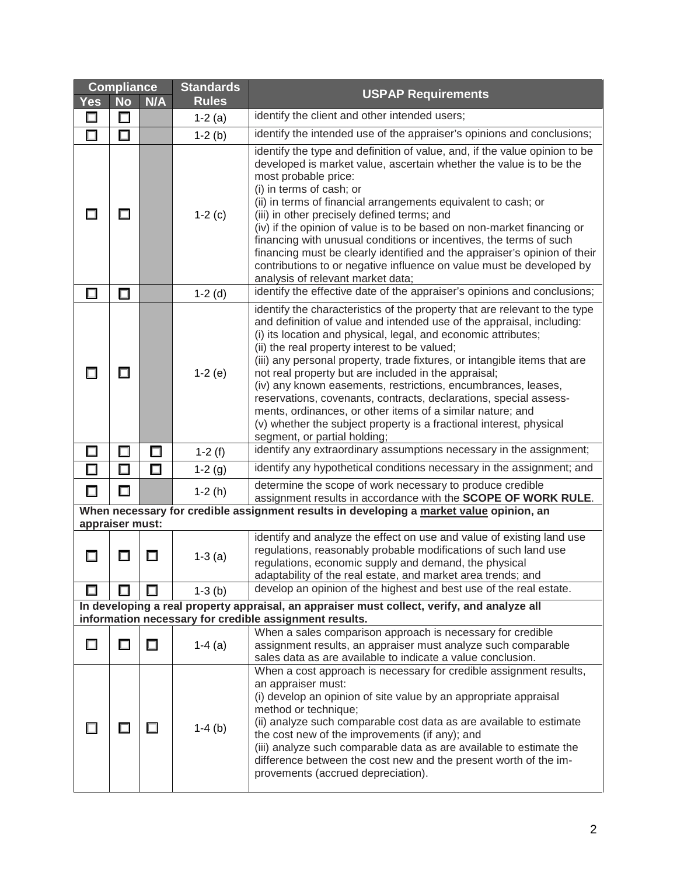|                                                                                                                      | <b>Compliance</b>                                                                           |        | <b>Standards</b> | <b>USPAP Requirements</b>                                                                                                                                                                                                                                                                                                                                                                                                                                                                                                                                                                                                                                                                                              |
|----------------------------------------------------------------------------------------------------------------------|---------------------------------------------------------------------------------------------|--------|------------------|------------------------------------------------------------------------------------------------------------------------------------------------------------------------------------------------------------------------------------------------------------------------------------------------------------------------------------------------------------------------------------------------------------------------------------------------------------------------------------------------------------------------------------------------------------------------------------------------------------------------------------------------------------------------------------------------------------------------|
| <b>Yes</b>                                                                                                           | <b>No</b>                                                                                   | N/A    | <b>Rules</b>     |                                                                                                                                                                                                                                                                                                                                                                                                                                                                                                                                                                                                                                                                                                                        |
| $\Box$                                                                                                               | □                                                                                           |        | $1-2(a)$         | identify the client and other intended users;                                                                                                                                                                                                                                                                                                                                                                                                                                                                                                                                                                                                                                                                          |
| □                                                                                                                    | $\Box$                                                                                      |        | $1-2(b)$         | identify the intended use of the appraiser's opinions and conclusions;                                                                                                                                                                                                                                                                                                                                                                                                                                                                                                                                                                                                                                                 |
| П                                                                                                                    | П                                                                                           |        | $1-2$ (c)        | identify the type and definition of value, and, if the value opinion to be<br>developed is market value, ascertain whether the value is to be the<br>most probable price:<br>(i) in terms of cash; or<br>(ii) in terms of financial arrangements equivalent to cash; or<br>(iii) in other precisely defined terms; and<br>(iv) if the opinion of value is to be based on non-market financing or<br>financing with unusual conditions or incentives, the terms of such<br>financing must be clearly identified and the appraiser's opinion of their<br>contributions to or negative influence on value must be developed by<br>analysis of relevant market data;                                                       |
| □                                                                                                                    | $\Box$                                                                                      |        | $1-2$ (d)        | identify the effective date of the appraiser's opinions and conclusions;                                                                                                                                                                                                                                                                                                                                                                                                                                                                                                                                                                                                                                               |
| □                                                                                                                    | $\Box$                                                                                      |        | $1-2(e)$         | identify the characteristics of the property that are relevant to the type<br>and definition of value and intended use of the appraisal, including:<br>(i) its location and physical, legal, and economic attributes;<br>(ii) the real property interest to be valued;<br>(iii) any personal property, trade fixtures, or intangible items that are<br>not real property but are included in the appraisal;<br>(iv) any known easements, restrictions, encumbrances, leases,<br>reservations, covenants, contracts, declarations, special assess-<br>ments, ordinances, or other items of a similar nature; and<br>(v) whether the subject property is a fractional interest, physical<br>segment, or partial holding; |
| □                                                                                                                    | $\Box$                                                                                      | $\Box$ | $1-2(f)$         | identify any extraordinary assumptions necessary in the assignment;                                                                                                                                                                                                                                                                                                                                                                                                                                                                                                                                                                                                                                                    |
| $\Box$                                                                                                               | □                                                                                           | $\Box$ | $1-2(g)$         | identify any hypothetical conditions necessary in the assignment; and                                                                                                                                                                                                                                                                                                                                                                                                                                                                                                                                                                                                                                                  |
| $\Box$                                                                                                               | $\Box$                                                                                      |        | $1-2(h)$         | determine the scope of work necessary to produce credible                                                                                                                                                                                                                                                                                                                                                                                                                                                                                                                                                                                                                                                              |
|                                                                                                                      |                                                                                             |        |                  | assignment results in accordance with the SCOPE OF WORK RULE.<br>When necessary for credible assignment results in developing a market value opinion, an                                                                                                                                                                                                                                                                                                                                                                                                                                                                                                                                                               |
| appraiser must:                                                                                                      |                                                                                             |        |                  |                                                                                                                                                                                                                                                                                                                                                                                                                                                                                                                                                                                                                                                                                                                        |
| П                                                                                                                    |                                                                                             | Π      | $1-3(a)$         | identify and analyze the effect on use and value of existing land use<br>regulations, reasonably probable modifications of such land use<br>regulations, economic supply and demand, the physical<br>adaptability of the real estate, and market area trends; and                                                                                                                                                                                                                                                                                                                                                                                                                                                      |
| ш                                                                                                                    |                                                                                             |        | $1-3$ (b)        | develop an opinion of the highest and best use of the real estate.                                                                                                                                                                                                                                                                                                                                                                                                                                                                                                                                                                                                                                                     |
|                                                                                                                      | In developing a real property appraisal, an appraiser must collect, verify, and analyze all |        |                  |                                                                                                                                                                                                                                                                                                                                                                                                                                                                                                                                                                                                                                                                                                                        |
| information necessary for credible assignment results.<br>When a sales comparison approach is necessary for credible |                                                                                             |        |                  |                                                                                                                                                                                                                                                                                                                                                                                                                                                                                                                                                                                                                                                                                                                        |
| □                                                                                                                    |                                                                                             | $\Box$ | $1-4$ (a)        | assignment results, an appraiser must analyze such comparable<br>sales data as are available to indicate a value conclusion.                                                                                                                                                                                                                                                                                                                                                                                                                                                                                                                                                                                           |
|                                                                                                                      |                                                                                             | ш      | $1-4$ (b)        | When a cost approach is necessary for credible assignment results,<br>an appraiser must:<br>(i) develop an opinion of site value by an appropriate appraisal<br>method or technique;<br>(ii) analyze such comparable cost data as are available to estimate<br>the cost new of the improvements (if any); and<br>(iii) analyze such comparable data as are available to estimate the<br>difference between the cost new and the present worth of the im-<br>provements (accrued depreciation).                                                                                                                                                                                                                         |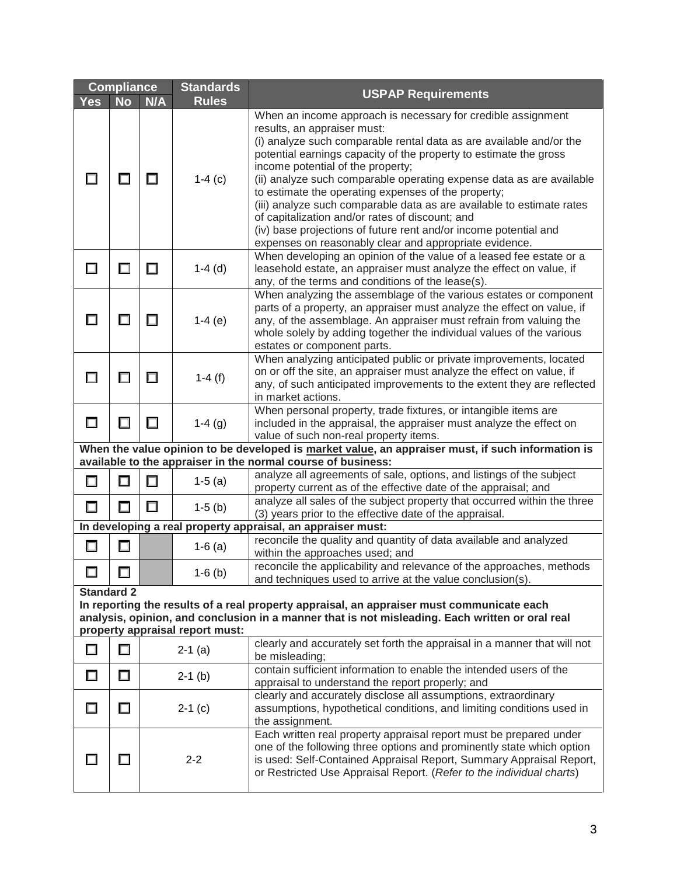|                                                                                                                                                                                                                                                      | <b>Compliance</b><br><b>Standards</b>                                                                                                                             |        |              |                                                                                                                                                                                                                                                                                                                                                                                                                                                                                                                                                                                                                                                                       |  |
|------------------------------------------------------------------------------------------------------------------------------------------------------------------------------------------------------------------------------------------------------|-------------------------------------------------------------------------------------------------------------------------------------------------------------------|--------|--------------|-----------------------------------------------------------------------------------------------------------------------------------------------------------------------------------------------------------------------------------------------------------------------------------------------------------------------------------------------------------------------------------------------------------------------------------------------------------------------------------------------------------------------------------------------------------------------------------------------------------------------------------------------------------------------|--|
| <b>Yes</b>                                                                                                                                                                                                                                           | <b>No</b>                                                                                                                                                         | N/A    | <b>Rules</b> | <b>USPAP Requirements</b>                                                                                                                                                                                                                                                                                                                                                                                                                                                                                                                                                                                                                                             |  |
| □                                                                                                                                                                                                                                                    |                                                                                                                                                                   | □      | $1-4$ (c)    | When an income approach is necessary for credible assignment<br>results, an appraiser must:<br>(i) analyze such comparable rental data as are available and/or the<br>potential earnings capacity of the property to estimate the gross<br>income potential of the property;<br>(ii) analyze such comparable operating expense data as are available<br>to estimate the operating expenses of the property;<br>(iii) analyze such comparable data as are available to estimate rates<br>of capitalization and/or rates of discount; and<br>(iv) base projections of future rent and/or income potential and<br>expenses on reasonably clear and appropriate evidence. |  |
| □                                                                                                                                                                                                                                                    |                                                                                                                                                                   | □      | $1-4$ (d)    | When developing an opinion of the value of a leased fee estate or a<br>leasehold estate, an appraiser must analyze the effect on value, if<br>any, of the terms and conditions of the lease(s).                                                                                                                                                                                                                                                                                                                                                                                                                                                                       |  |
| $\Box$                                                                                                                                                                                                                                               | □                                                                                                                                                                 | □      | $1-4(e)$     | When analyzing the assemblage of the various estates or component<br>parts of a property, an appraiser must analyze the effect on value, if<br>any, of the assemblage. An appraiser must refrain from valuing the<br>whole solely by adding together the individual values of the various<br>estates or component parts.                                                                                                                                                                                                                                                                                                                                              |  |
| $\Box$                                                                                                                                                                                                                                               |                                                                                                                                                                   | □      | 1-4 $(f)$    | When analyzing anticipated public or private improvements, located<br>on or off the site, an appraiser must analyze the effect on value, if<br>any, of such anticipated improvements to the extent they are reflected<br>in market actions.                                                                                                                                                                                                                                                                                                                                                                                                                           |  |
| □                                                                                                                                                                                                                                                    | П                                                                                                                                                                 | □      | $1-4(g)$     | When personal property, trade fixtures, or intangible items are<br>included in the appraisal, the appraiser must analyze the effect on<br>value of such non-real property items.                                                                                                                                                                                                                                                                                                                                                                                                                                                                                      |  |
|                                                                                                                                                                                                                                                      | When the value opinion to be developed is market value, an appraiser must, if such information is<br>available to the appraiser in the normal course of business: |        |              |                                                                                                                                                                                                                                                                                                                                                                                                                                                                                                                                                                                                                                                                       |  |
| $\Box$                                                                                                                                                                                                                                               | $\Box$                                                                                                                                                            | □      | $1-5(a)$     | analyze all agreements of sale, options, and listings of the subject<br>property current as of the effective date of the appraisal; and                                                                                                                                                                                                                                                                                                                                                                                                                                                                                                                               |  |
| $\Box$                                                                                                                                                                                                                                               | $\Box$                                                                                                                                                            | $\Box$ | $1-5$ (b)    | analyze all sales of the subject property that occurred within the three<br>(3) years prior to the effective date of the appraisal.                                                                                                                                                                                                                                                                                                                                                                                                                                                                                                                                   |  |
|                                                                                                                                                                                                                                                      |                                                                                                                                                                   |        |              | In developing a real property appraisal, an appraiser must:                                                                                                                                                                                                                                                                                                                                                                                                                                                                                                                                                                                                           |  |
| $\Box$                                                                                                                                                                                                                                               | □                                                                                                                                                                 |        | $1-6$ (a)    | reconcile the quality and quantity of data available and analyzed<br>within the approaches used; and                                                                                                                                                                                                                                                                                                                                                                                                                                                                                                                                                                  |  |
| $\Box$                                                                                                                                                                                                                                               | $\Box$                                                                                                                                                            |        | $1-6$ (b)    | reconcile the applicability and relevance of the approaches, methods<br>and techniques used to arrive at the value conclusion(s).                                                                                                                                                                                                                                                                                                                                                                                                                                                                                                                                     |  |
| <b>Standard 2</b><br>In reporting the results of a real property appraisal, an appraiser must communicate each<br>analysis, opinion, and conclusion in a manner that is not misleading. Each written or oral real<br>property appraisal report must: |                                                                                                                                                                   |        |              |                                                                                                                                                                                                                                                                                                                                                                                                                                                                                                                                                                                                                                                                       |  |
| $\Box$                                                                                                                                                                                                                                               | $\Box$                                                                                                                                                            |        | $2-1$ (a)    | clearly and accurately set forth the appraisal in a manner that will not<br>be misleading;                                                                                                                                                                                                                                                                                                                                                                                                                                                                                                                                                                            |  |
| □                                                                                                                                                                                                                                                    | $\Box$                                                                                                                                                            |        | $2-1$ (b)    | contain sufficient information to enable the intended users of the<br>appraisal to understand the report properly; and                                                                                                                                                                                                                                                                                                                                                                                                                                                                                                                                                |  |
| □                                                                                                                                                                                                                                                    | П                                                                                                                                                                 |        | $2-1$ (c)    | clearly and accurately disclose all assumptions, extraordinary<br>assumptions, hypothetical conditions, and limiting conditions used in<br>the assignment.                                                                                                                                                                                                                                                                                                                                                                                                                                                                                                            |  |
| $\Box$                                                                                                                                                                                                                                               | H                                                                                                                                                                 |        | $2 - 2$      | Each written real property appraisal report must be prepared under<br>one of the following three options and prominently state which option<br>is used: Self-Contained Appraisal Report, Summary Appraisal Report,<br>or Restricted Use Appraisal Report. (Refer to the individual charts)                                                                                                                                                                                                                                                                                                                                                                            |  |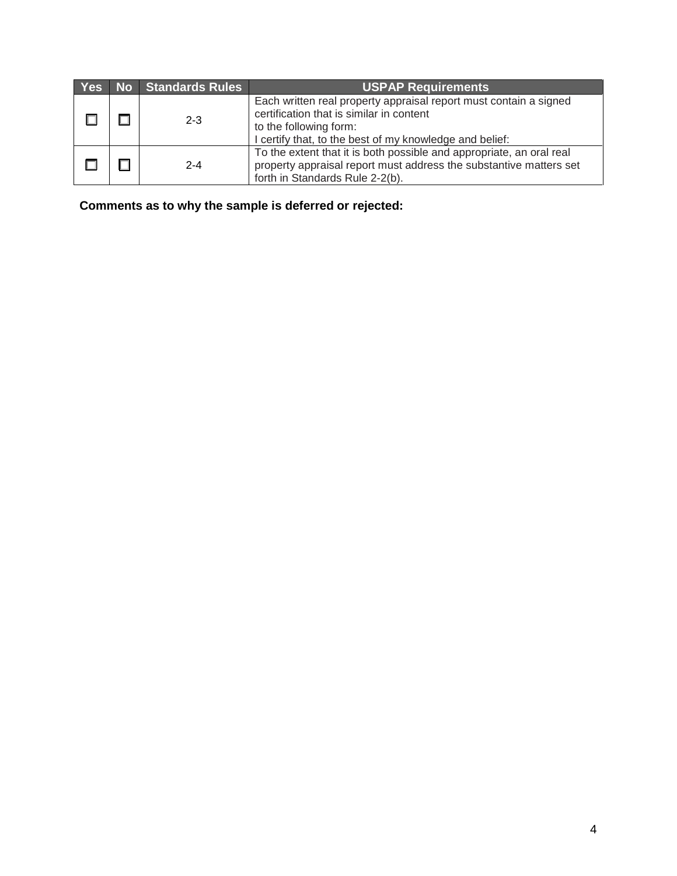|  | Yes No Standards Rules | <b>USPAP Requirements</b>                                                                                                                                                                          |
|--|------------------------|----------------------------------------------------------------------------------------------------------------------------------------------------------------------------------------------------|
|  | $2 - 3$                | Each written real property appraisal report must contain a signed<br>certification that is similar in content<br>to the following form:<br>I certify that, to the best of my knowledge and belief: |
|  | $2 - 4$                | To the extent that it is both possible and appropriate, an oral real<br>property appraisal report must address the substantive matters set<br>forth in Standards Rule 2-2(b).                      |

**Comments as to why the sample is deferred or rejected:**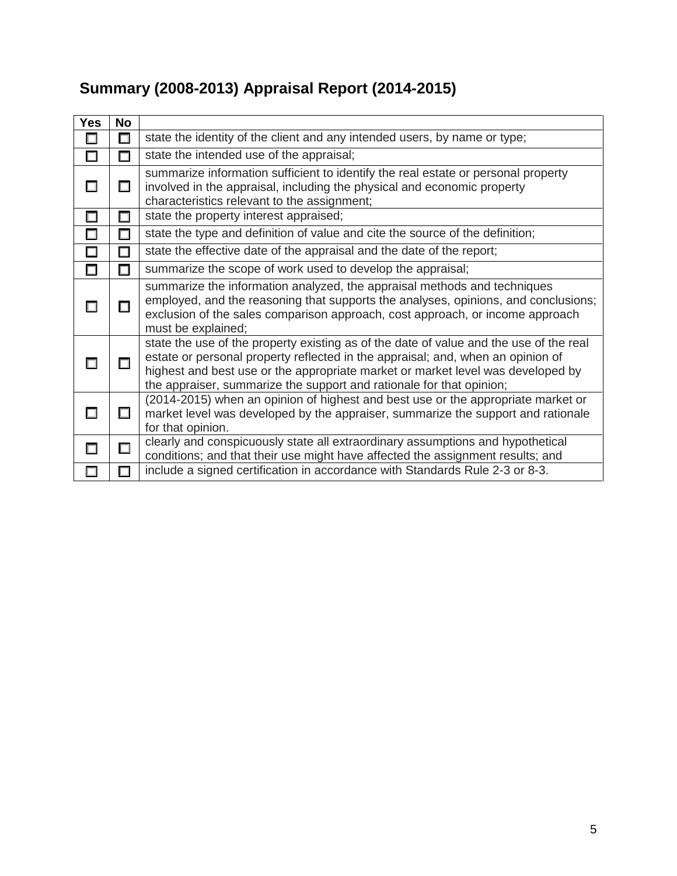#### **Yes No**  $\Box$   $\Box$  state the identity of the client and any intended users, by name or type;  $\Box$   $\Box$  state the intended use of the appraisal;  $\Box$   $\Box$ summarize information sufficient to identify the real estate or personal property involved in the appraisal, including the physical and economic property characteristics relevant to the assignment;  $\Box$   $\Box$  state the property interest appraised;  $\Box$   $\Box$  state the type and definition of value and cite the source of the definition;  $\Box$   $\Box$  state the effective date of the appraisal and the date of the report;  $\Box$   $\Box$  summarize the scope of work used to develop the appraisal; 0 0 summarize the information analyzed, the appraisal methods and techniques employed, and the reasoning that supports the analyses, opinions, and conclusions; exclusion of the sales comparison approach, cost approach, or income approach must be explained;  $\Box$   $\Box$ state the use of the property existing as of the date of value and the use of the real estate or personal property reflected in the appraisal; and, when an opinion of highest and best use or the appropriate market or market level was developed by the appraiser, summarize the support and rationale for that opinion;  $\square$   $\square$ (2014-2015) when an opinion of highest and best use or the appropriate market or market level was developed by the appraiser, summarize the support and rationale for that opinion.  $\Box$  clearly and conspicuously state all extraordinary assumptions and hypothetical conditions; and that their use might have affected the assignment results; and  $\Box$  |  $\Box$  | include a signed certification in accordance with Standards Rule 2-3 or 8-3.

### **Summary (2008-2013) Appraisal Report (2014-2015)**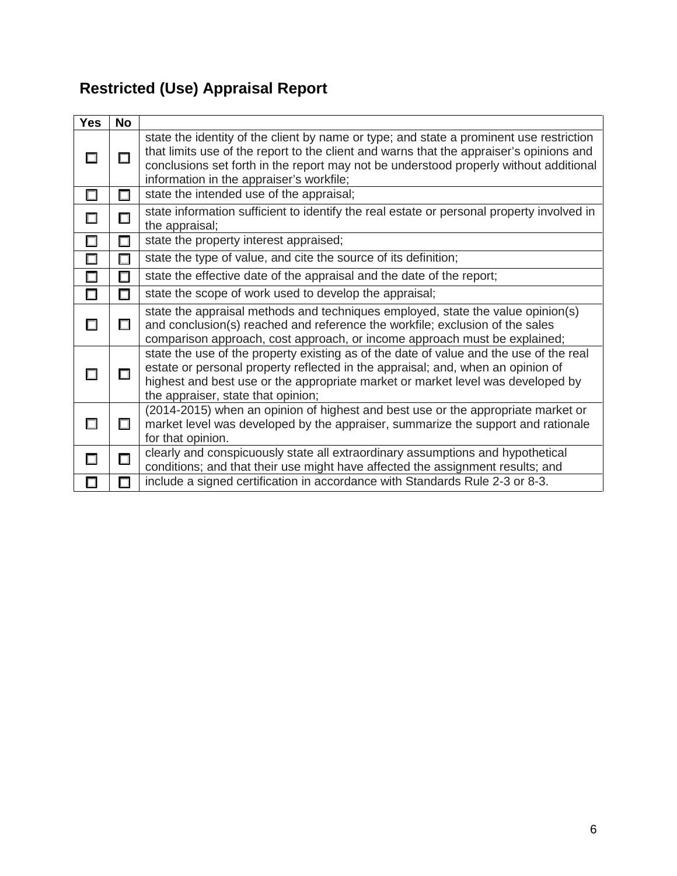# **Restricted (Use) Appraisal Report**

| <b>Yes</b> | <b>No</b> |                                                                                                                                                                                                                                                                                                                         |
|------------|-----------|-------------------------------------------------------------------------------------------------------------------------------------------------------------------------------------------------------------------------------------------------------------------------------------------------------------------------|
|            | $\Box$    | state the identity of the client by name or type; and state a prominent use restriction<br>that limits use of the report to the client and warns that the appraiser's opinions and<br>conclusions set forth in the report may not be understood properly without additional<br>information in the appraiser's workfile; |
| $\Box$     | $\Box$    | state the intended use of the appraisal;                                                                                                                                                                                                                                                                                |
| $\Box$     | $\Box$    | state information sufficient to identify the real estate or personal property involved in<br>the appraisal;                                                                                                                                                                                                             |
| □          | $\Box$    | state the property interest appraised;                                                                                                                                                                                                                                                                                  |
| $\Box$     | П         | state the type of value, and cite the source of its definition;                                                                                                                                                                                                                                                         |
| $\Box$     | $\Box$    | state the effective date of the appraisal and the date of the report;                                                                                                                                                                                                                                                   |
| $\Box$     | □         | state the scope of work used to develop the appraisal;                                                                                                                                                                                                                                                                  |
| $\Box$     | П         | state the appraisal methods and techniques employed, state the value opinion(s)<br>and conclusion(s) reached and reference the workfile; exclusion of the sales<br>comparison approach, cost approach, or income approach must be explained;                                                                            |
| H          | П         | state the use of the property existing as of the date of value and the use of the real<br>estate or personal property reflected in the appraisal; and, when an opinion of<br>highest and best use or the appropriate market or market level was developed by<br>the appraiser, state that opinion;                      |
| □          | $\Box$    | (2014-2015) when an opinion of highest and best use or the appropriate market or<br>market level was developed by the appraiser, summarize the support and rationale<br>for that opinion.                                                                                                                               |
| П          | П         | clearly and conspicuously state all extraordinary assumptions and hypothetical<br>conditions; and that their use might have affected the assignment results; and                                                                                                                                                        |
|            |           | include a signed certification in accordance with Standards Rule 2-3 or 8-3.                                                                                                                                                                                                                                            |